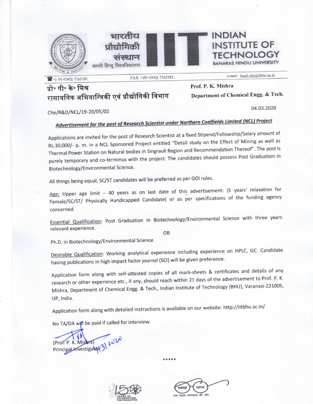





e-mail: head.che@itbhu.ac.in

04.03.2020

**HNOLOGY JARAS HINDU UNIVERSITY** 

**INSTITUTE OF** 

## प्रो॰ पी॰ के॰ मिश्र रासायनिक अभियान्त्रिकी एवं प्रौद्योगिकी विभाग

Prof. P. K. Mishra Department of Chemical Engg. & Tech.

**INDIAN** 

Che/R&D/NCL/19-20/05/02

## Advertisement for the post of Research Scientist under Northern Coalfields Limited (NCL) Project

FAX: +)91-0542(7165181;

Applications are invited for the post of Research Scientist at a fixed Stipend/Fellowship/Salary amount of Rs.30,000/- p. m. in a NCL Sponsored Project entitled "Detail study on the Effect of Mining as well as Thermal Power Station on Natural bodies in Singrauli Region and Recommendation Thereof". The post is purely temporary and co-terminus with the project. The candidates should possess Post Graduation in Biotechnology/Environmental Science.

All things being equal, SC/ST candidates will be preferred as per GOI rules.

Age: Upper age limit - 40 years as on last date of this advertisement: (5 years' relaxation for Female/SC/ST/ Physically Handicapped Candidate) or as per specifications of the funding agency concerned.

Essential Qualification: Post Graduation in Biotechnology/Environmental Science with three years relevant experience.

OR

Ph.D. in Biotechnology/Environmental Science

Desirable Qualification: Working analytical experience including experience on HPLC, GC. Candidate having publications in high impact factor journal (SCI) will be given preference.

Application form along with self-attested copies of all mark-sheets & certificates and details of any research or other experience etc., if any, should reach within 21 days of the advertisement to Prof. P. K. Mishra, Department of Chemical Engg. & Tech., Indian Institute of Technology (BHU), Varanasi-221005, UP, India.

\*\*\*\*\*

Application form along with detailed instructions is available on our website: http://iitbhu.ac.in/

No TA/DA will be paid if called for interview.

(Prof. P. K. Mis Principal Investigator



की ओर स्वच्छता